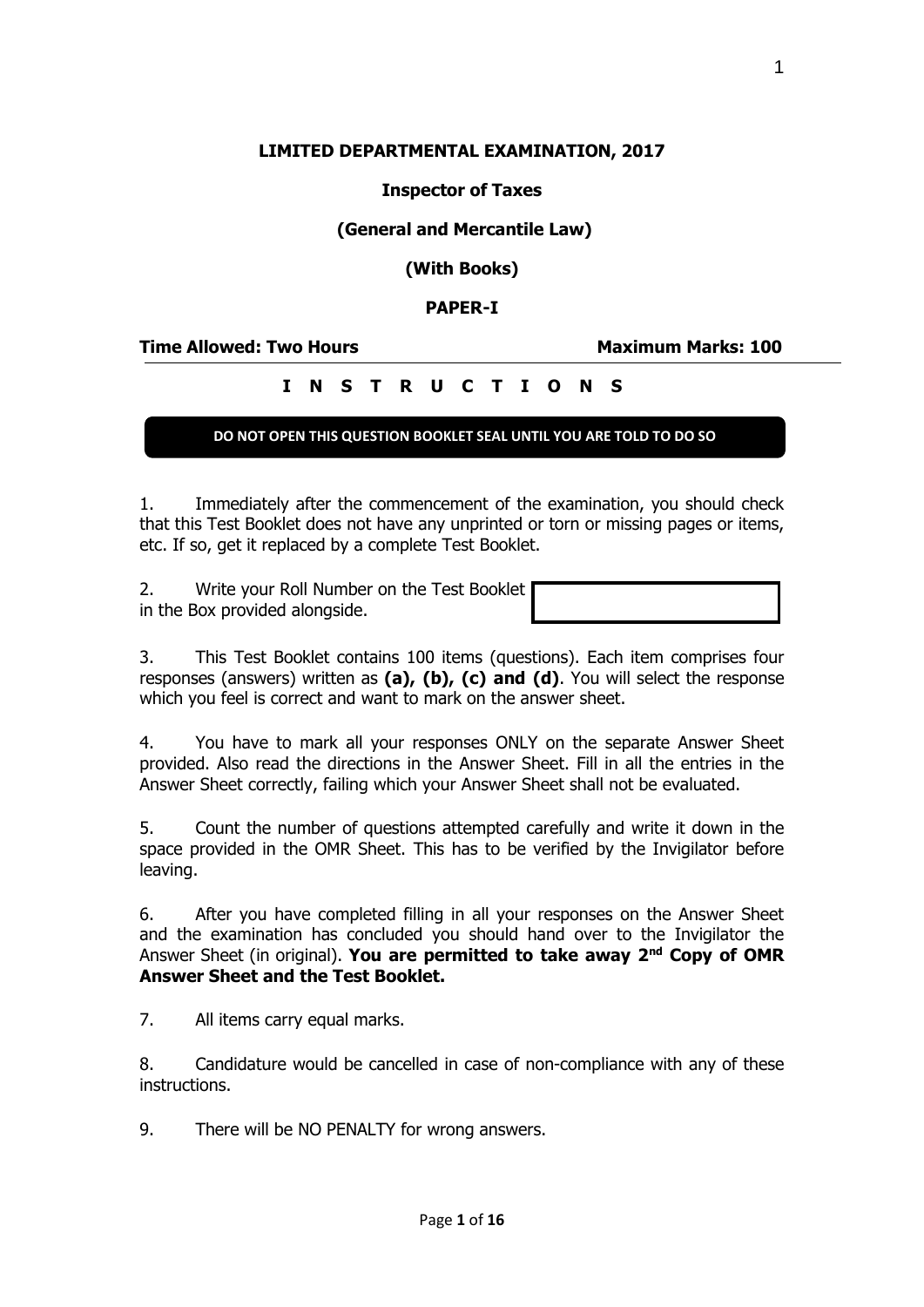### **LIMITED DEPARTMENTAL EXAMINATION, 2017**

### **Inspector of Taxes**

### **(General and Mercantile Law)**

**(With Books)**

### **PAPER-I**

**Time Allowed: Two Hours Maximum Marks: 100**

## **I N S T R U C T I O N S**

### **DO NOT OPEN THIS QUESTION BOOKLET SEAL UNTIL YOU ARE TOLD TO DO SO**

1. Immediately after the commencement of the examination, you should check that this Test Booklet does not have any unprinted or torn or missing pages or items, etc. If so, get it replaced by a complete Test Booklet.

2. Write your Roll Number on the Test Booklet in the Box provided alongside.

3. This Test Booklet contains 100 items (questions). Each item comprises four responses (answers) written as **(a), (b), (c) and (d)**. You will select the response which you feel is correct and want to mark on the answer sheet.

4. You have to mark all your responses ONLY on the separate Answer Sheet provided. Also read the directions in the Answer Sheet. Fill in all the entries in the Answer Sheet correctly, failing which your Answer Sheet shall not be evaluated.

5. Count the number of questions attempted carefully and write it down in the space provided in the OMR Sheet. This has to be verified by the Invigilator before leaving.

6. After you have completed filling in all your responses on the Answer Sheet and the examination has concluded you should hand over to the Invigilator the Answer Sheet (in original). **You are permitted to take away 2nd Copy of OMR Answer Sheet and the Test Booklet.**

7. All items carry equal marks.

8. Candidature would be cancelled in case of non-compliance with any of these instructions.

9. There will be NO PENALTY for wrong answers.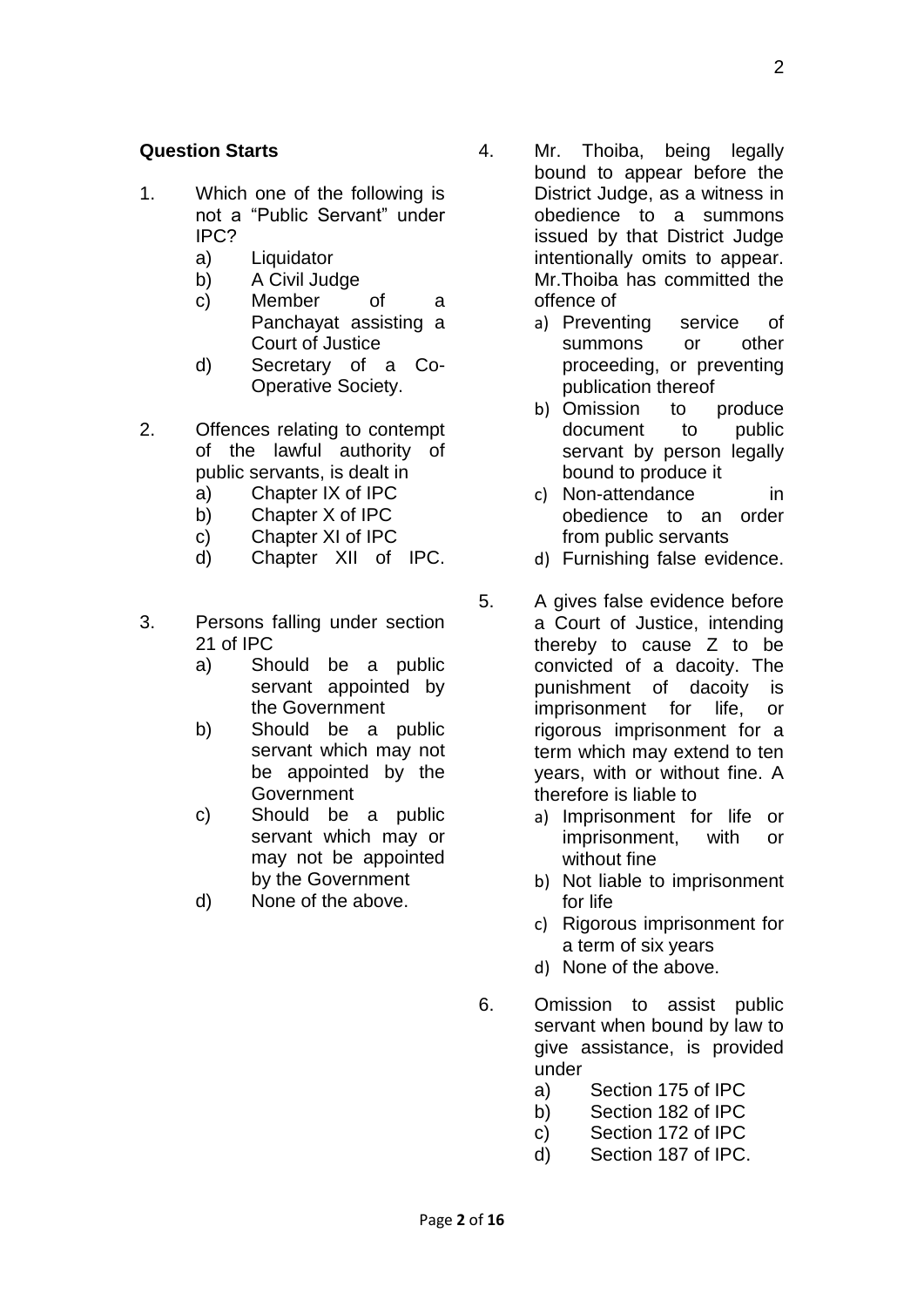# **Question Starts**

- 1. Which one of the following is not a "Public Servant" under IPC?
	- a) Liquidator
	- b) A Civil Judge
	- c) Member of a Panchayat assisting a Court of Justice
	- d) Secretary of a Co-Operative Society.
- 2. Offences relating to contempt of the lawful authority of public servants, is dealt in
	- a) Chapter IX of IPC
	- b) Chapter X of IPC
	- c) Chapter XI of IPC
	- d) Chapter XII of IPC.
- 3. Persons falling under section 21 of IPC
	- a) Should be a public servant appointed by the Government
	- b) Should be a public servant which may not be appointed by the Government
	- c) Should be a public servant which may or may not be appointed by the Government
	- d) None of the above.
- 4. Mr. Thoiba, being legally bound to appear before the District Judge, as a witness in obedience to a summons issued by that District Judge intentionally omits to appear. Mr.Thoiba has committed the offence of
	- a) Preventing service of summons or other proceeding, or preventing publication thereof
	- b) Omission to produce document to public servant by person legally bound to produce it
	- c) Non-attendance in obedience to an order from public servants
	- d) Furnishing false evidence.
- 5. A gives false evidence before a Court of Justice, intending thereby to cause Z to be convicted of a dacoity. The punishment of dacoity is imprisonment for life, or rigorous imprisonment for a term which may extend to ten years, with or without fine. A therefore is liable to
	- a) Imprisonment for life or imprisonment, with or without fine
	- b) Not liable to imprisonment for life
	- c) Rigorous imprisonment for a term of six years
	- d) None of the above.
- 6. Omission to assist public servant when bound by law to give assistance, is provided under
	- a) Section 175 of IPC
	- b) Section 182 of IPC
	- c) Section 172 of IPC
	- d) Section 187 of IPC.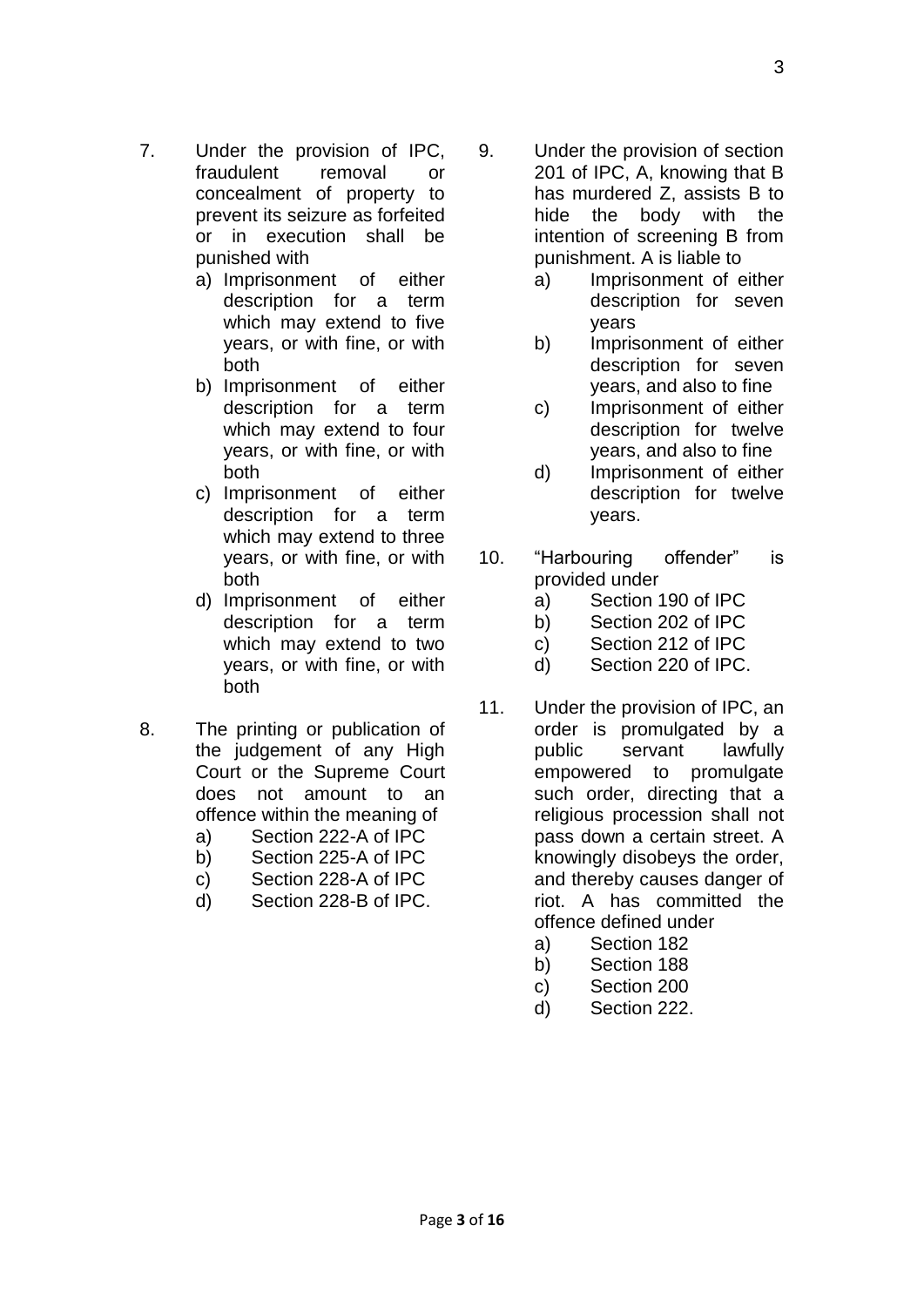- 7. Under the provision of IPC, fraudulent removal or concealment of property to prevent its seizure as forfeited or in execution shall be punished with
	- a) Imprisonment of either description for a term which may extend to five years, or with fine, or with both
	- b) Imprisonment of either description for a term which may extend to four years, or with fine, or with both
	- c) Imprisonment of either description for a term which may extend to three years, or with fine, or with both
	- d) Imprisonment of either description for a term which may extend to two years, or with fine, or with both
- 8. The printing or publication of the judgement of any High Court or the Supreme Court does not amount to an offence within the meaning of
	- a) Section 222-A of IPC
	- b) Section 225-A of IPC
	- c) Section 228-A of IPC
	- d) Section 228-B of IPC.
- 9. Under the provision of section 201 of IPC, A, knowing that B has murdered Z, assists B to hide the body with the intention of screening B from punishment. A is liable to
	- a) Imprisonment of either description for seven years
	- b) Imprisonment of either description for seven years, and also to fine
	- c) Imprisonment of either description for twelve years, and also to fine
	- d) Imprisonment of either description for twelve years.
- 10. "Harbouring offender" is provided under
	- a) Section 190 of IPC
	- b) Section 202 of IPC
	- c) Section 212 of IPC
	- d) Section 220 of IPC.
- 11. Under the provision of IPC, an order is promulgated by a public servant lawfully empowered to promulgate such order, directing that a religious procession shall not pass down a certain street. A knowingly disobeys the order, and thereby causes danger of riot. A has committed the offence defined under
	- a) Section 182
	- b) Section 188
	- c) Section 200
	- d) Section 222.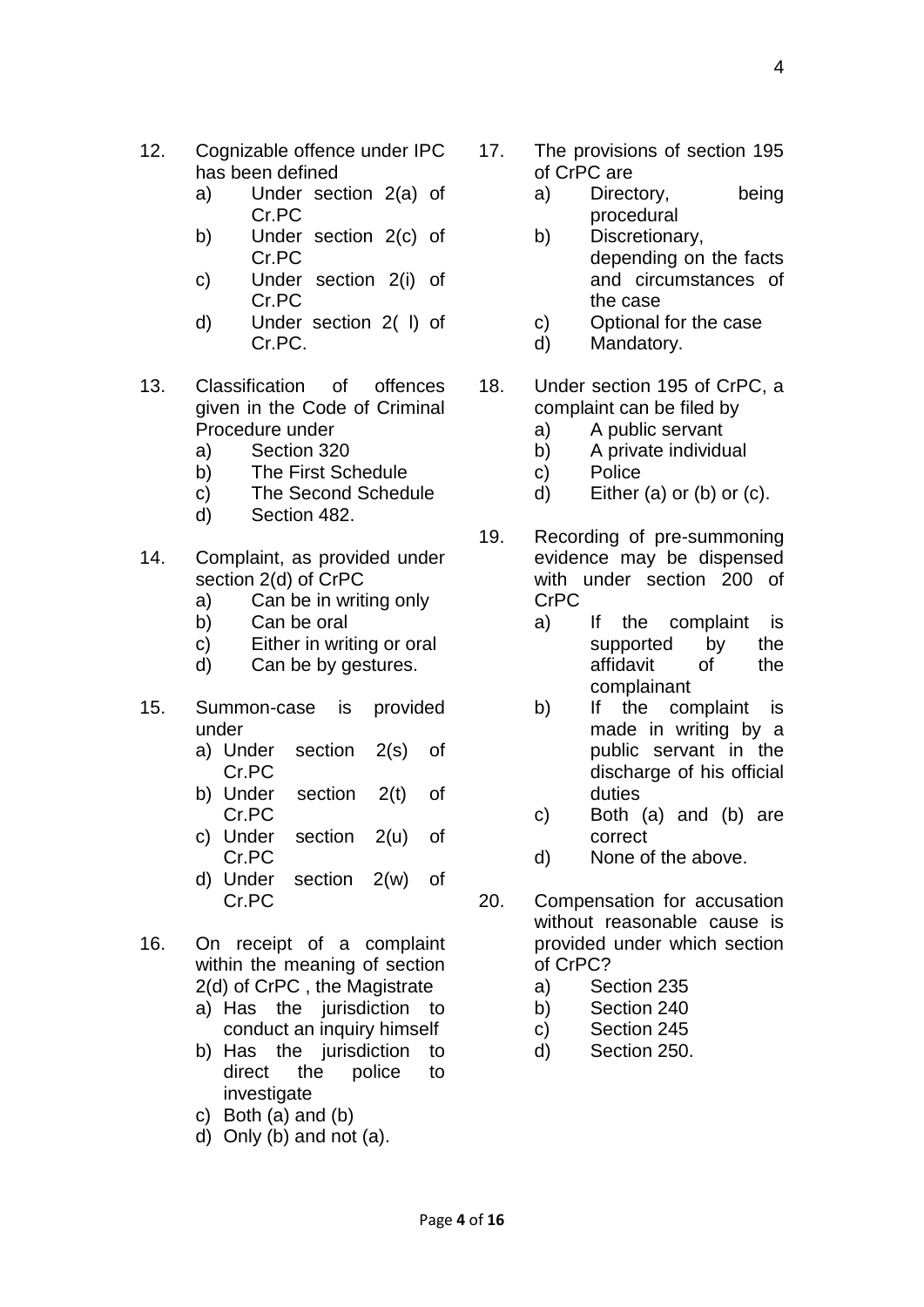- 12. Cognizable offence under IPC has been defined
	- a) Under section 2(a) of Cr.PC
	- b) Under section 2(c) of Cr.PC
	- c) Under section 2(i) of Cr.PC
	- d) Under section 2( l) of Cr.PC.
- 13. Classification of offences given in the Code of Criminal Procedure under
	- a) Section 320
	- b) The First Schedule
	- c) The Second Schedule
	- d) Section 482.
- 14. Complaint, as provided under section 2(d) of CrPC
	- a) Can be in writing only
	- b) Can be oral
	- c) Either in writing or oral
	- d) Can be by gestures.
- 15. Summon-case is provided under
	- a) Under section 2(s) of Cr.PC
	- b) Under section 2(t) of Cr.PC
	- c) Under section 2(u) of Cr.PC
	- d) Under section 2(w) of Cr.PC
- 16. On receipt of a complaint within the meaning of section 2(d) of CrPC , the Magistrate
	- a) Has the jurisdiction to conduct an inquiry himself
	- b) Has the jurisdiction to direct the police to investigate
	- c) Both (a) and (b)
	- d) Only (b) and not (a).
- 17. The provisions of section 195 of CrPC are
	- a) Directory, being procedural
	- b) Discretionary, depending on the facts and circumstances of the case
	- c) Optional for the case
	- d) Mandatory.
- 18. Under section 195 of CrPC, a complaint can be filed by
	- a) A public servant
	- b) A private individual
	- c) Police
	- d) Either (a) or (b) or (c).
- 19. Recording of pre-summoning evidence may be dispensed with under section 200 of CrPC
	- a) If the complaint is supported by the affidavit of the complainant
	- b) If the complaint is made in writing by a public servant in the discharge of his official duties
	- c) Both (a) and (b) are correct
	- d) None of the above.
- 20. Compensation for accusation without reasonable cause is provided under which section of CrPC?
	- a) Section 235
	- b) Section 240
	- c) Section 245
	- d) Section 250.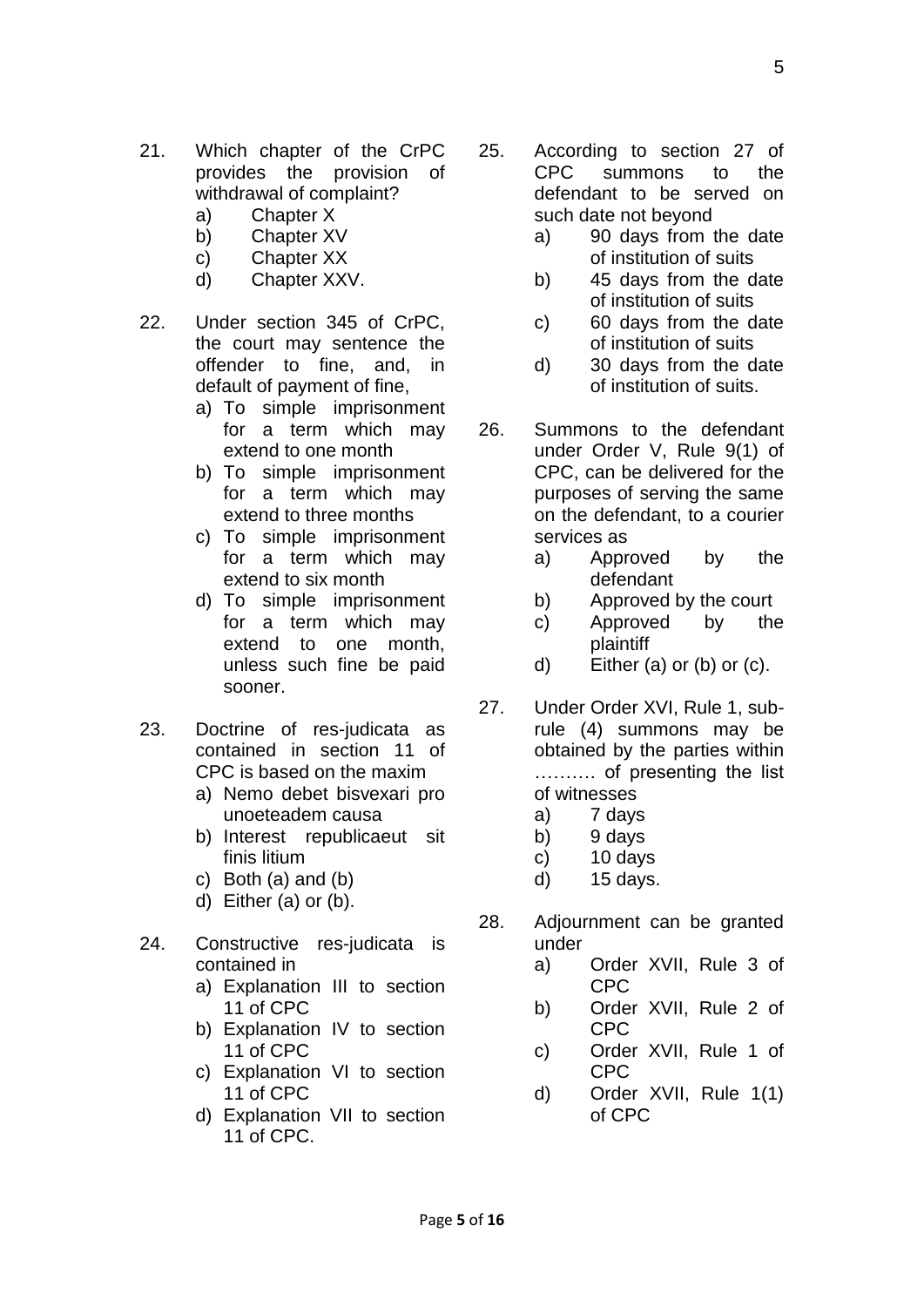- 21. Which chapter of the CrPC provides the provision of withdrawal of complaint?
	- a) Chapter X
	- b) Chapter XV
	- c) Chapter XX
	- d) Chapter XXV.
- 22. Under section 345 of CrPC, the court may sentence the offender to fine, and, in default of payment of fine,
	- a) To simple imprisonment for a term which may extend to one month
	- b) To simple imprisonment for a term which may extend to three months
	- c) To simple imprisonment for a term which may extend to six month
	- d) To simple imprisonment for a term which may extend to one month, unless such fine be paid sooner.
- 23. Doctrine of res-judicata as contained in section 11 of CPC is based on the maxim
	- a) Nemo debet bisvexari pro unoeteadem causa
	- b) Interest republicaeut sit finis litium
	- c) Both (a) and (b)
	- d) Either (a) or (b).
- 24. Constructive res-judicata is contained in
	- a) Explanation III to section 11 of CPC
	- b) Explanation IV to section 11 of CPC
	- c) Explanation VI to section 11 of CPC
	- d) Explanation VII to section 11 of CPC.
- 25. According to section 27 of CPC summons to the defendant to be served on such date not beyond
	- a) 90 days from the date of institution of suits
	- b) 45 days from the date of institution of suits
	- c) 60 days from the date of institution of suits
	- d) 30 days from the date of institution of suits.
- 26. Summons to the defendant under Order V, Rule 9(1) of CPC, can be delivered for the purposes of serving the same on the defendant, to a courier services as
	- a) Approved by the defendant
	- b) Approved by the court
	- c) Approved by the plaintiff
	- d) Either (a) or (b) or (c).
- 27. Under Order XVI, Rule 1, subrule (4) summons may be obtained by the parties within ………. of presenting the list of witnesses
	- a) 7 days
	- b) 9 days
	- c) 10 days
	- d) 15 days.
- 28. Adjournment can be granted under
	- a) Order XVII, Rule 3 of CPC
	- b) Order XVII, Rule 2 of CPC
	- c) Order XVII, Rule 1 of CPC
	- d) Order XVII, Rule 1(1) of CPC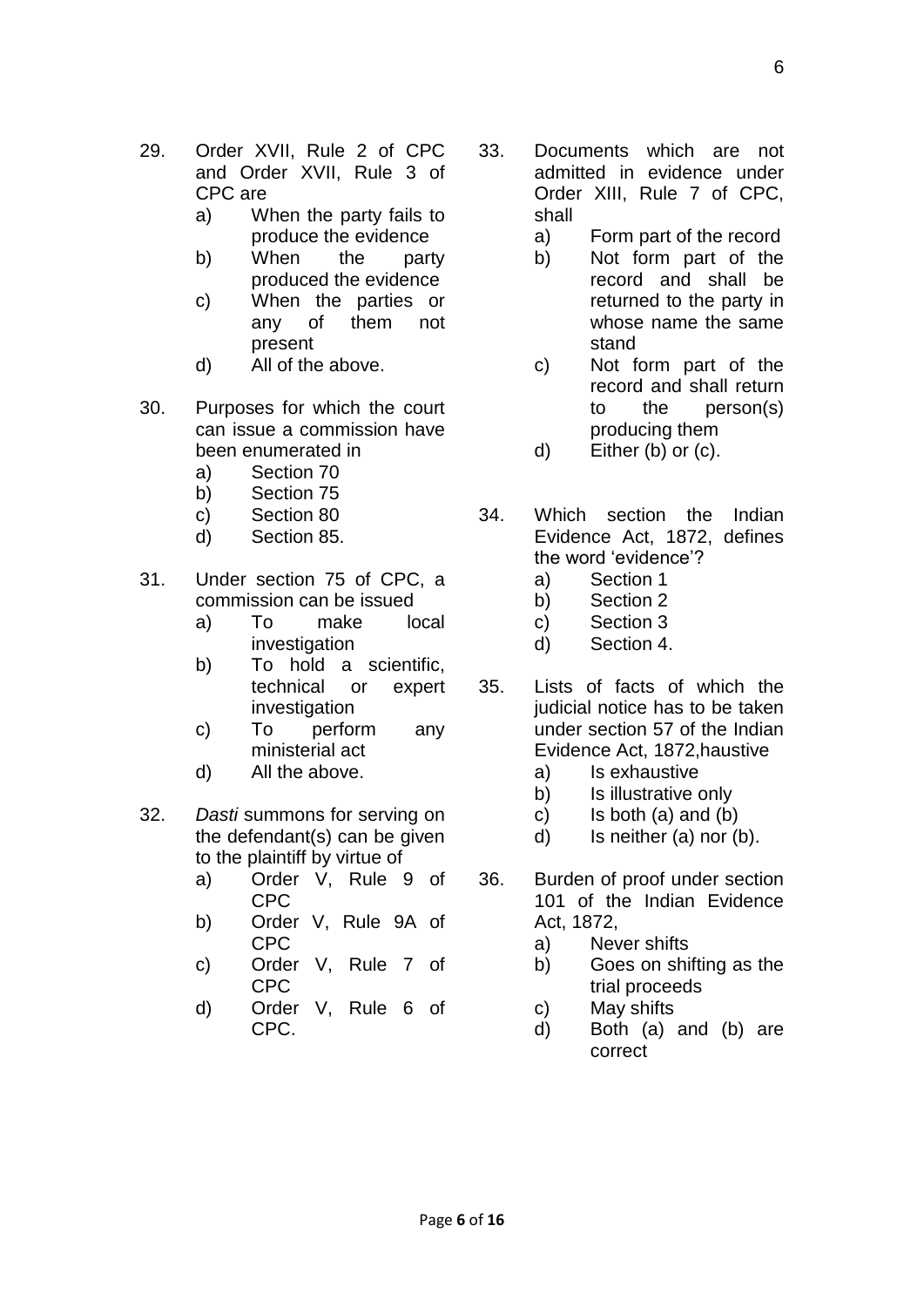- 29. Order XVII, Rule 2 of CPC and Order XVII, Rule 3 of CPC are
	- a) When the party fails to produce the evidence
	- b) When the party produced the evidence
	- c) When the parties or any of them not present
	- d) All of the above.
- 30. Purposes for which the court can issue a commission have been enumerated in
	- a) Section 70
	- b) Section 75
	- c) Section 80
	- d) Section 85.
- 31. Under section 75 of CPC, a commission can be issued
	- a) To make local investigation
	- b) To hold a scientific, technical or expert investigation
	- c) To perform any ministerial act
	- d) All the above.
- 32. *Dasti* summons for serving on the defendant(s) can be given to the plaintiff by virtue of
	- a) Order V, Rule 9 of CPC
	- b) Order V, Rule 9A of CPC
	- c) Order V, Rule 7 of CPC
	- d) Order V, Rule 6 of CPC.
- 33. Documents which are not admitted in evidence under Order XIII, Rule 7 of CPC, shall
	- a) Form part of the record
	- b) Not form part of the record and shall be returned to the party in whose name the same stand
	- c) Not form part of the record and shall return to the person(s) producing them
	- d) Either (b) or (c).
- 34. Which section the Indian Evidence Act, 1872, defines the word 'evidence'?
	- a) Section 1
	- b) Section 2
	- c) Section 3
	- d) Section 4.
- 35. Lists of facts of which the judicial notice has to be taken under section 57 of the Indian Evidence Act, 1872,haustive
	- a) Is exhaustive
	- b) Is illustrative only
	- c) Is both (a) and (b)
	- d) Is neither (a) nor (b).
- 36. Burden of proof under section 101 of the Indian Evidence Act, 1872,
	- a) Never shifts
	- b) Goes on shifting as the trial proceeds
	- c) May shifts
	- d) Both (a) and (b) are correct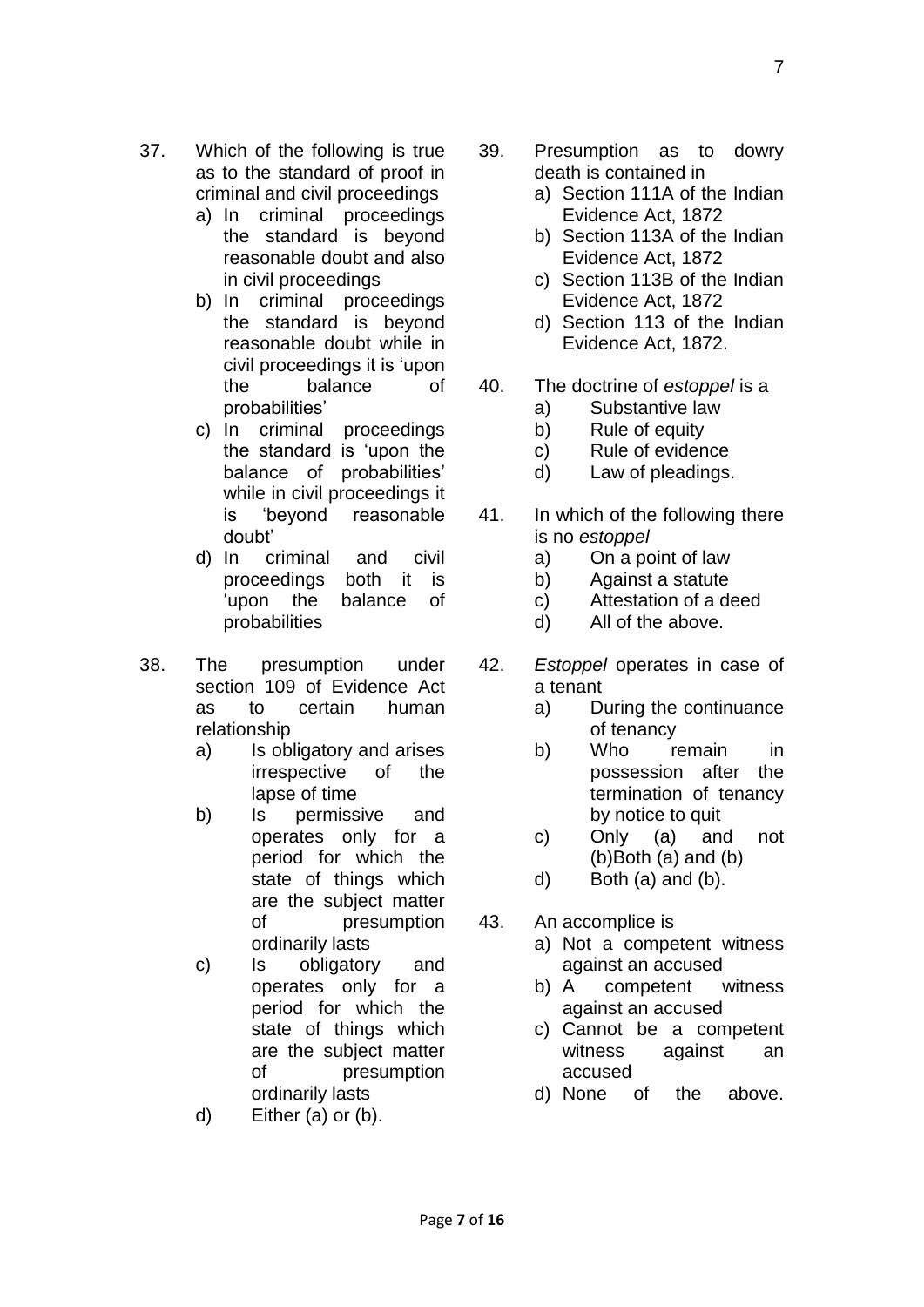- 37. Which of the following is true as to the standard of proof in criminal and civil proceedings
	- a) In criminal proceedings the standard is beyond reasonable doubt and also in civil proceedings
	- b) In criminal proceedings the standard is beyond reasonable doubt while in civil proceedings it is 'upon the balance of probabilities'
	- c) In criminal proceedings the standard is 'upon the balance of probabilities' while in civil proceedings it is 'beyond reasonable doubt'
	- d) In criminal and civil proceedings both it is 'upon the balance of probabilities
- 38. The presumption under section 109 of Evidence Act as to certain human relationship
	- a) Is obligatory and arises irrespective of the lapse of time
	- b) Is permissive and operates only for a period for which the state of things which are the subject matter of presumption ordinarily lasts
	- c) Is obligatory and operates only for a period for which the state of things which are the subject matter of presumption ordinarily lasts
	- d) Either (a) or (b).
- 39. Presumption as to dowry death is contained in
	- a) Section 111A of the Indian Evidence Act, 1872
	- b) Section 113A of the Indian Evidence Act, 1872
	- c) Section 113B of the Indian Evidence Act, 1872
	- d) Section 113 of the Indian Evidence Act, 1872.
- 40. The doctrine of *estoppel* is a
	- a) Substantive law
	- b) Rule of equity
	- c) Rule of evidence
	- d) Law of pleadings.
- 41. In which of the following there is no *estoppel*
	- a) On a point of law
	- b) Against a statute
	- c) Attestation of a deed
	- d) All of the above.
- 42. *Estoppel* operates in case of a tenant
	- a) During the continuance of tenancy
	- b) Who remain in possession after the termination of tenancy by notice to quit
	- c) Only (a) and not (b)Both (a) and (b)
	- d) Both (a) and (b).
- 43. An accomplice is
	- a) Not a competent witness against an accused
	- b) A competent witness against an accused
	- c) Cannot be a competent witness against an accused
	- d) None of the above.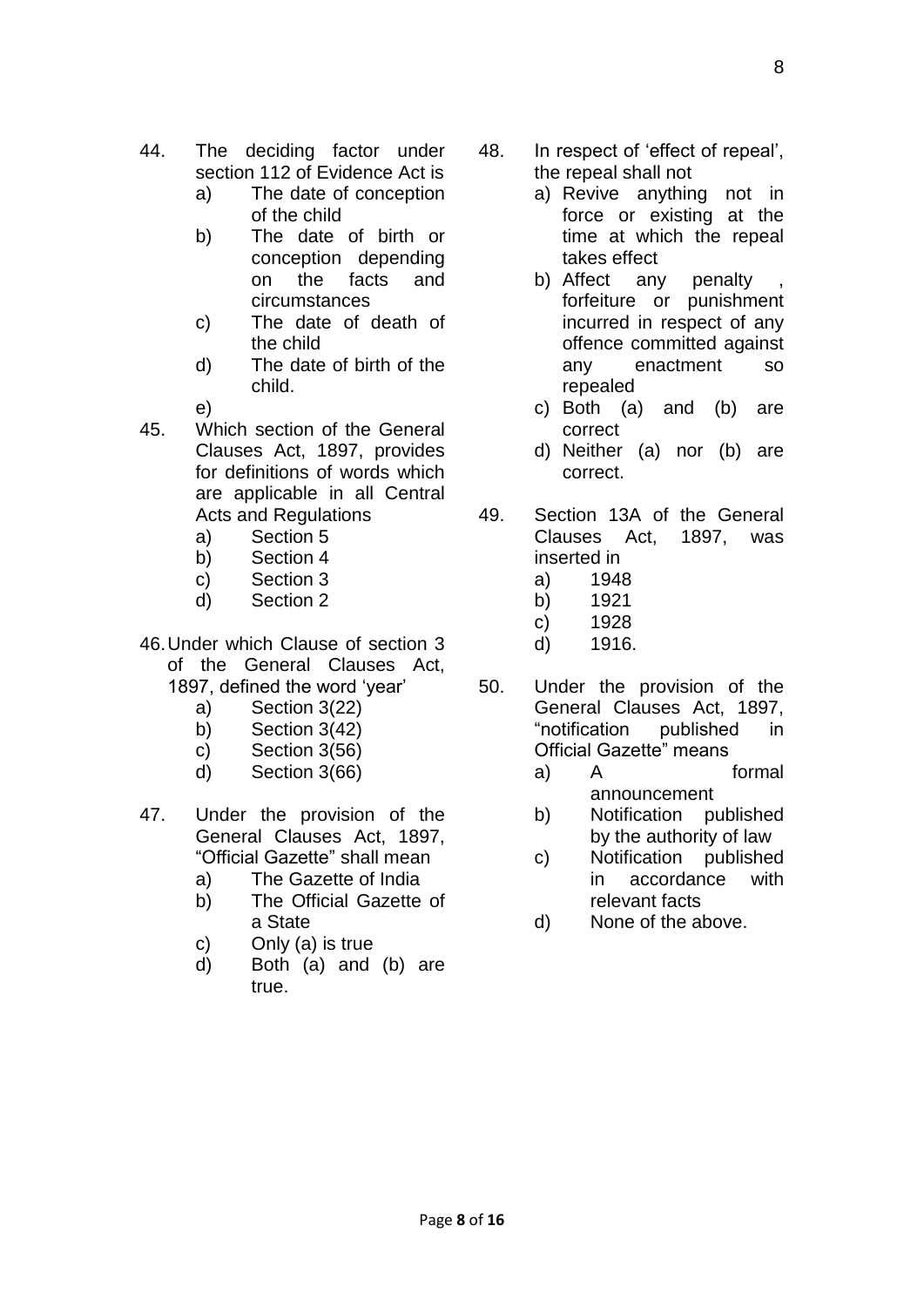- 44. The deciding factor under section 112 of Evidence Act is
	- a) The date of conception of the child
	- b) The date of birth or conception depending on the facts and circumstances
	- c) The date of death of the child
	- d) The date of birth of the child.
	- e)
- 45. Which section of the General Clauses Act, 1897, provides for definitions of words which are applicable in all Central Acts and Regulations
	- a) Section 5
	- b) Section 4
	- c) Section 3
	- d) Section 2
- 46.Under which Clause of section 3 of the General Clauses Act, 1897, defined the word 'year'
	- a) Section 3(22)
	- b) Section 3(42)
	- c) Section 3(56)
	- d) Section 3(66)
- 47. Under the provision of the General Clauses Act, 1897, "Official Gazette" shall mean
	- a) The Gazette of India
	- b) The Official Gazette of a State
	- c) Only (a) is true
	- d) Both (a) and (b) are true.
- 48. In respect of 'effect of repeal', the repeal shall not
	- a) Revive anything not in force or existing at the time at which the repeal takes effect
	- b) Affect any penalty forfeiture or punishment incurred in respect of any offence committed against any enactment so repealed
	- c) Both (a) and (b) are correct
	- d) Neither (a) nor (b) are correct.
- 49. Section 13A of the General Clauses Act, 1897, was inserted in
	- a) 1948
	- b) 1921
	- c) 1928
	- d) 1916.
- 50. Under the provision of the General Clauses Act, 1897, "notification published in Official Gazette" means
	- a) A formal announcement
	- b) Notification published by the authority of law
	- c) Notification published in accordance with relevant facts
	- d) None of the above.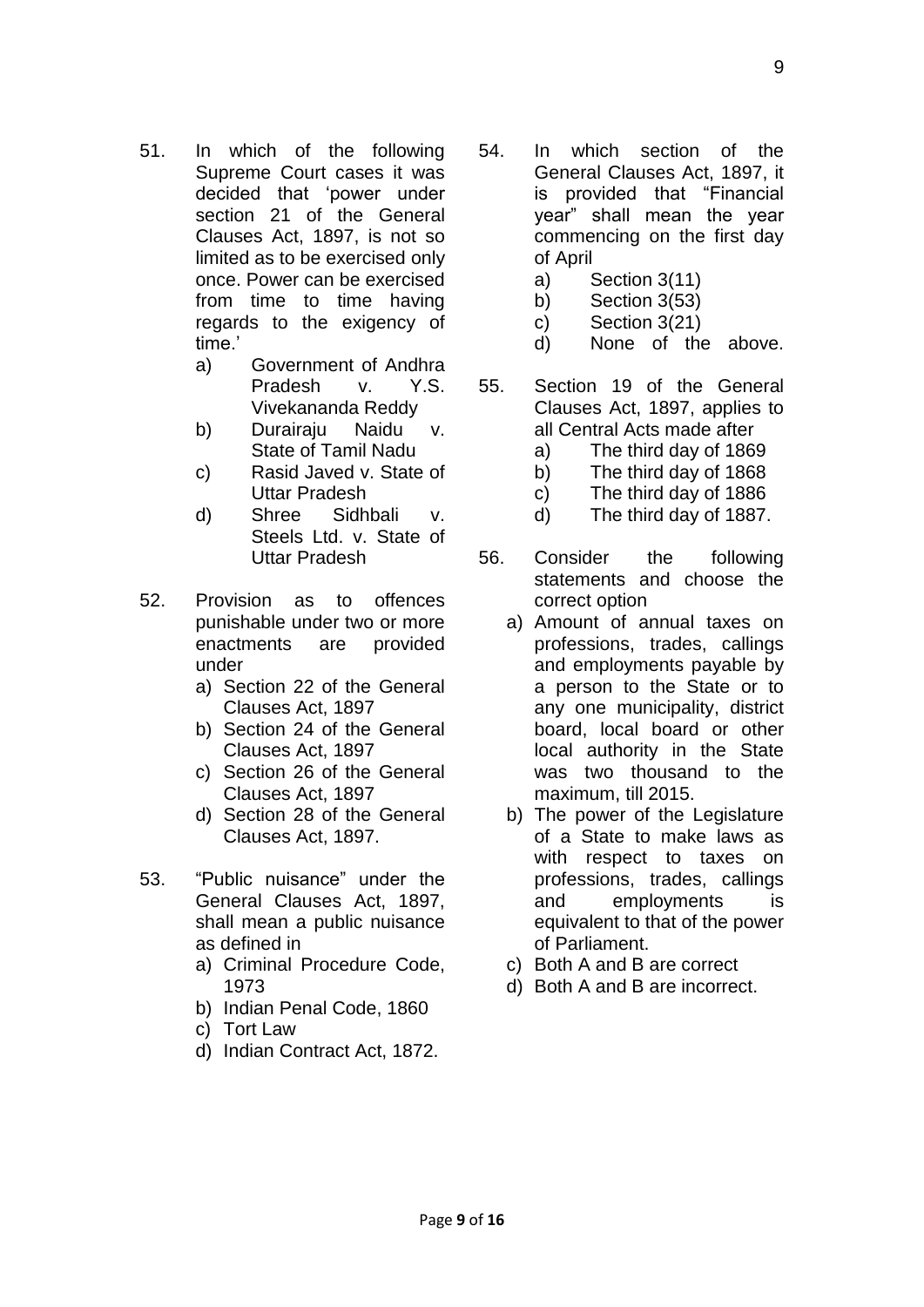- 51. In which of the following Supreme Court cases it was decided that 'power under section 21 of the General Clauses Act, 1897, is not so limited as to be exercised only once. Power can be exercised from time to time having regards to the exigency of time.'
	- a) Government of Andhra Pradesh v. Y.S. Vivekananda Reddy
	- b) Durairaju Naidu v. State of Tamil Nadu
	- c) Rasid Javed v. State of Uttar Pradesh
	- d) Shree Sidhbali v. Steels Ltd. v. State of Uttar Pradesh
- 52. Provision as to offences punishable under two or more enactments are provided under
	- a) Section 22 of the General Clauses Act, 1897
	- b) Section 24 of the General Clauses Act, 1897
	- c) Section 26 of the General Clauses Act, 1897
	- d) Section 28 of the General Clauses Act, 1897.
- 53. "Public nuisance" under the General Clauses Act, 1897, shall mean a public nuisance as defined in
	- a) Criminal Procedure Code, 1973
	- b) Indian Penal Code, 1860
	- c) Tort Law
	- d) Indian Contract Act, 1872.
- 54. In which section of the General Clauses Act, 1897, it is provided that "Financial year" shall mean the year commencing on the first day of April
	- a) Section 3(11)
	- b) Section 3(53)
	- c) Section 3(21)
	- d) None of the above.
- 55. Section 19 of the General Clauses Act, 1897, applies to all Central Acts made after
	- a) The third day of 1869
	- b) The third day of 1868
	- c) The third day of 1886
	- d) The third day of 1887.
- 56. Consider the following statements and choose the correct option
	- a) Amount of annual taxes on professions, trades, callings and employments payable by a person to the State or to any one municipality, district board, local board or other local authority in the State was two thousand to the maximum, till 2015.
	- b) The power of the Legislature of a State to make laws as with respect to taxes on professions, trades, callings and employments is equivalent to that of the power of Parliament.
	- c) Both A and B are correct
	- d) Both A and B are incorrect.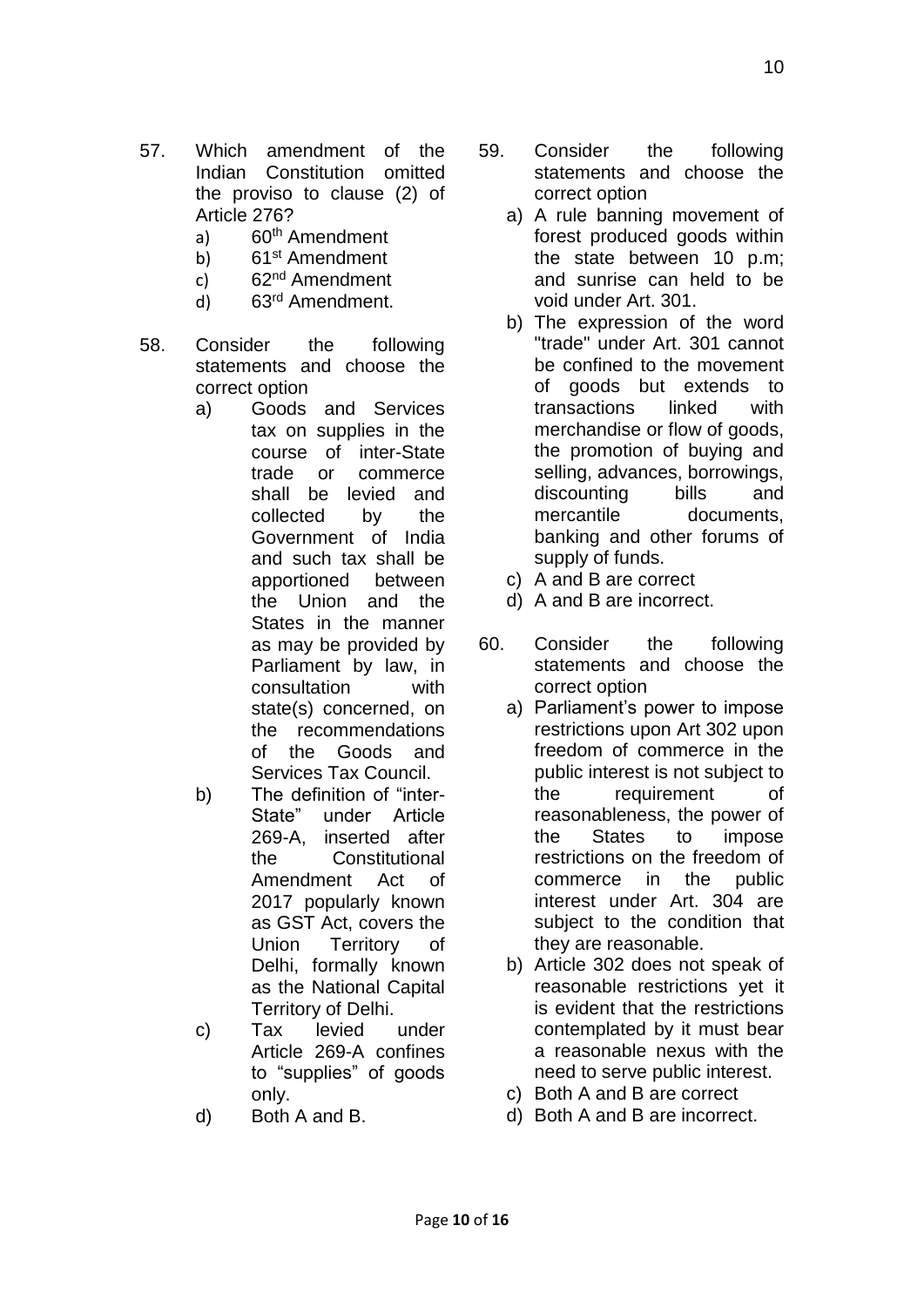- 57. Which amendment of the Indian Constitution omitted the proviso to clause (2) of Article 276?
	- a) 60<sup>th</sup> Amendment
	- b) 61<sup>st</sup> Amendment
	- c)  $62<sup>nd</sup>$  Amendment
	- d) 63rd Amendment.
- 58. Consider the following statements and choose the correct option
	- a) Goods and Services tax on supplies in the course of inter-State trade or commerce shall be levied and collected by the Government of India and such tax shall be apportioned between the Union and the States in the manner as may be provided by Parliament by law, in consultation with state(s) concerned, on the recommendations of the Goods and Services Tax Council.
	- b) The definition of "inter-State" under Article 269-A, inserted after the Constitutional Amendment Act of 2017 popularly known as GST Act, covers the Union Territory of Delhi, formally known as the National Capital Territory of Delhi.
	- c) Tax levied under Article 269-A confines to "supplies" of goods only.
	- d) Both A and B.
- 59. Consider the following statements and choose the correct option
	- a) A rule banning movement of forest produced goods within the state between 10 p.m; and sunrise can held to be void under Art. 301.
	- b) The expression of the word "trade" under Art. 301 cannot be confined to the movement of goods but extends to transactions linked with merchandise or flow of goods, the promotion of buying and selling, advances, borrowings, discounting bills and mercantile documents. banking and other forums of supply of funds.
	- c) A and B are correct
	- d) A and B are incorrect.
- 60. Consider the following statements and choose the correct option
	- a) Parliament's power to impose restrictions upon Art 302 upon freedom of commerce in the public interest is not subject to the requirement of reasonableness, the power of the States to impose restrictions on the freedom of commerce in the public interest under Art. 304 are subject to the condition that they are reasonable.
	- b) Article 302 does not speak of reasonable restrictions yet it is evident that the restrictions contemplated by it must bear a reasonable nexus with the need to serve public interest.
	- c) Both A and B are correct
	- d) Both A and B are incorrect.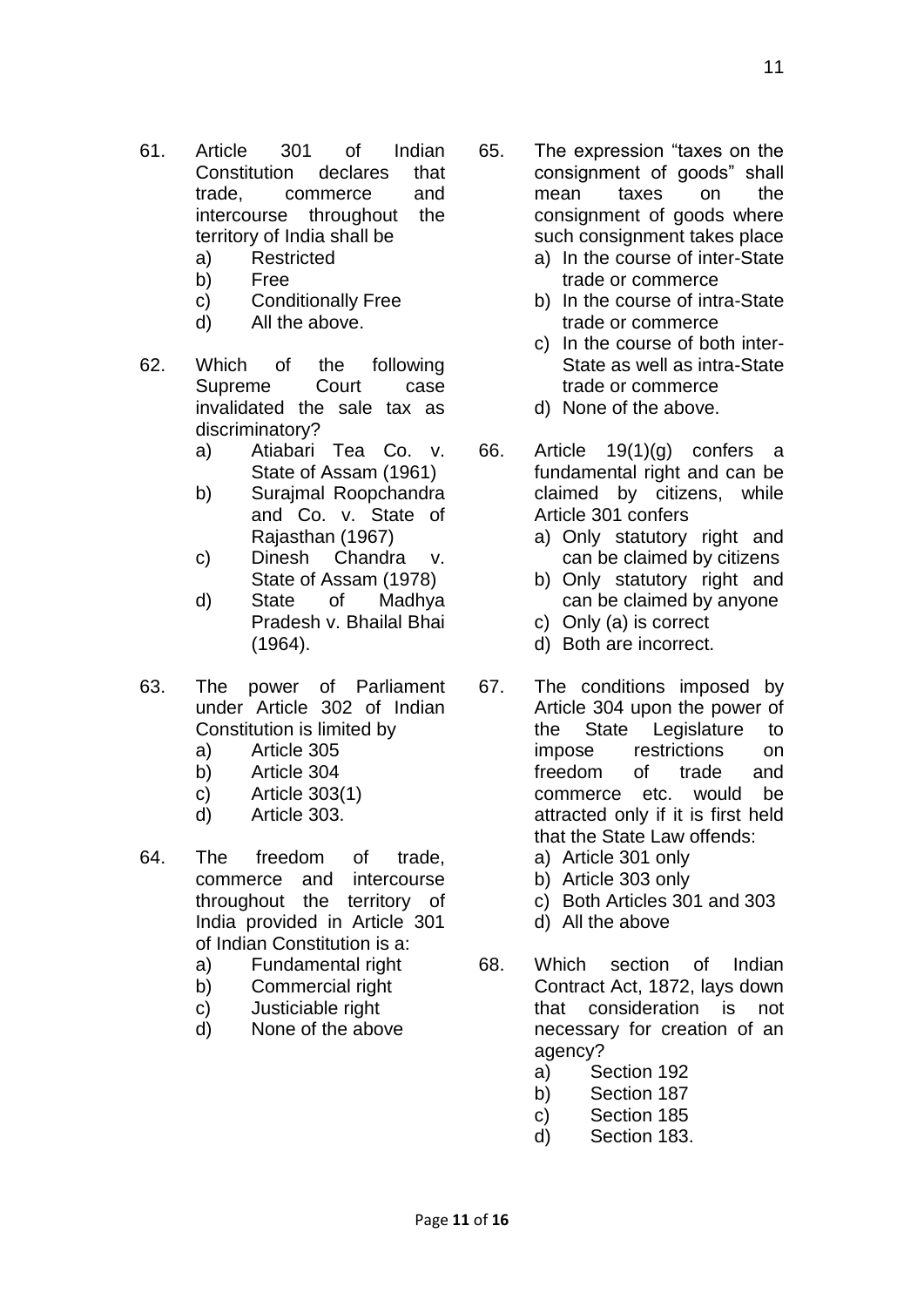- 61. Article 301 of Indian Constitution declares that trade, commerce and intercourse throughout the territory of India shall be
	- a) Restricted
	- b) Free
	- c) Conditionally Free
	- d) All the above.
- 62. Which of the following Supreme Court case invalidated the sale tax as discriminatory?
	- a) Atiabari Tea Co. v. State of Assam (1961)
	- b) Surajmal Roopchandra and Co. v. State of Rajasthan (1967)
	- c) Dinesh Chandra v. State of Assam (1978)
	- d) State of Madhya Pradesh v. Bhailal Bhai (1964).
- 63. The power of Parliament under Article 302 of Indian Constitution is limited by
	- a) Article 305
	- b) Article 304
	- c) Article 303(1)
	- d) Article 303.
- 64. The freedom of trade, commerce and intercourse throughout the territory of India provided in Article 301 of Indian Constitution is a:
	- a) Fundamental right
	- b) Commercial right
	- c) Justiciable right
	- d) None of the above
- 65. The expression "taxes on the consignment of goods" shall mean taxes on the consignment of goods where such consignment takes place
	- a) In the course of inter-State trade or commerce
	- b) In the course of intra-State trade or commerce
	- c) In the course of both inter-State as well as intra-State trade or commerce
	- d) None of the above.
- 66. Article 19(1)(g) confers a fundamental right and can be claimed by citizens, while Article 301 confers
	- a) Only statutory right and can be claimed by citizens
	- b) Only statutory right and can be claimed by anyone
	- c) Only (a) is correct
	- d) Both are incorrect.
- 67. The conditions imposed by Article 304 upon the power of the State Legislature to impose restrictions on freedom of trade and commerce etc. would be attracted only if it is first held that the State Law offends:
	- a) Article 301 only
	- b) Article 303 only
	- c) Both Articles 301 and 303
	- d) All the above
- 68. Which section of Indian Contract Act, 1872, lays down that consideration is not necessary for creation of an agency?
	- a) Section 192
	- b) Section 187
	- c) Section 185
	- d) Section 183.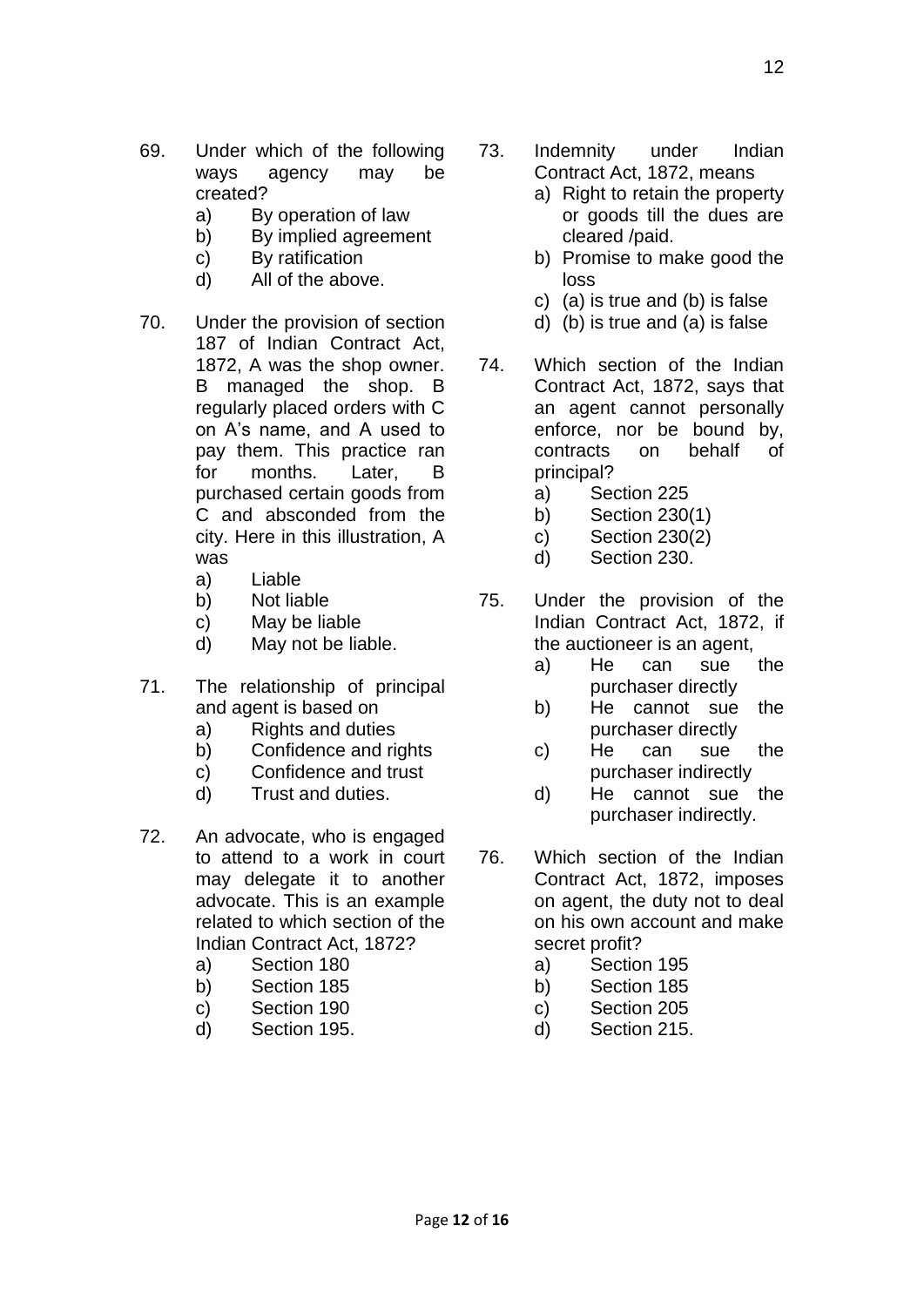- 69. Under which of the following ways agency may be created?
	- a) By operation of law
	- b) By implied agreement
	- c) By ratification
	- d) All of the above.
- 70. Under the provision of section 187 of Indian Contract Act, 1872, A was the shop owner. B managed the shop. B regularly placed orders with C on A's name, and A used to pay them. This practice ran for months. Later, B purchased certain goods from C and absconded from the city. Here in this illustration, A was
	- a) Liable
	- b) Not liable
	- c) May be liable
	- d) May not be liable.
- 71. The relationship of principal and agent is based on
	- a) Rights and duties
	- b) Confidence and rights
	- c) Confidence and trust
	- d) Trust and duties.
- 72. An advocate, who is engaged to attend to a work in court may delegate it to another advocate. This is an example related to which section of the Indian Contract Act, 1872?
	- a) Section 180
	- b) Section 185
	- c) Section 190
	- d) Section 195.
- 73. Indemnity under Indian Contract Act, 1872, means
	- a) Right to retain the property or goods till the dues are cleared /paid.
	- b) Promise to make good the loss
	- c) (a) is true and (b) is false
	- d) (b) is true and (a) is false
- 74. Which section of the Indian Contract Act, 1872, says that an agent cannot personally enforce, nor be bound by, contracts on behalf of principal?
	- a) Section 225
	- b) Section 230(1)
	- c) Section 230(2)
	- d) Section 230.
- 75. Under the provision of the Indian Contract Act, 1872, if the auctioneer is an agent,
	- a) He can sue the purchaser directly
	- b) He cannot sue the purchaser directly
	- c) He can sue the purchaser indirectly
	- d) He cannot sue the purchaser indirectly.
- 76. Which section of the Indian Contract Act, 1872, imposes on agent, the duty not to deal on his own account and make secret profit?
	- a) Section 195
	- b) Section 185
	- c) Section 205
	- d) Section 215.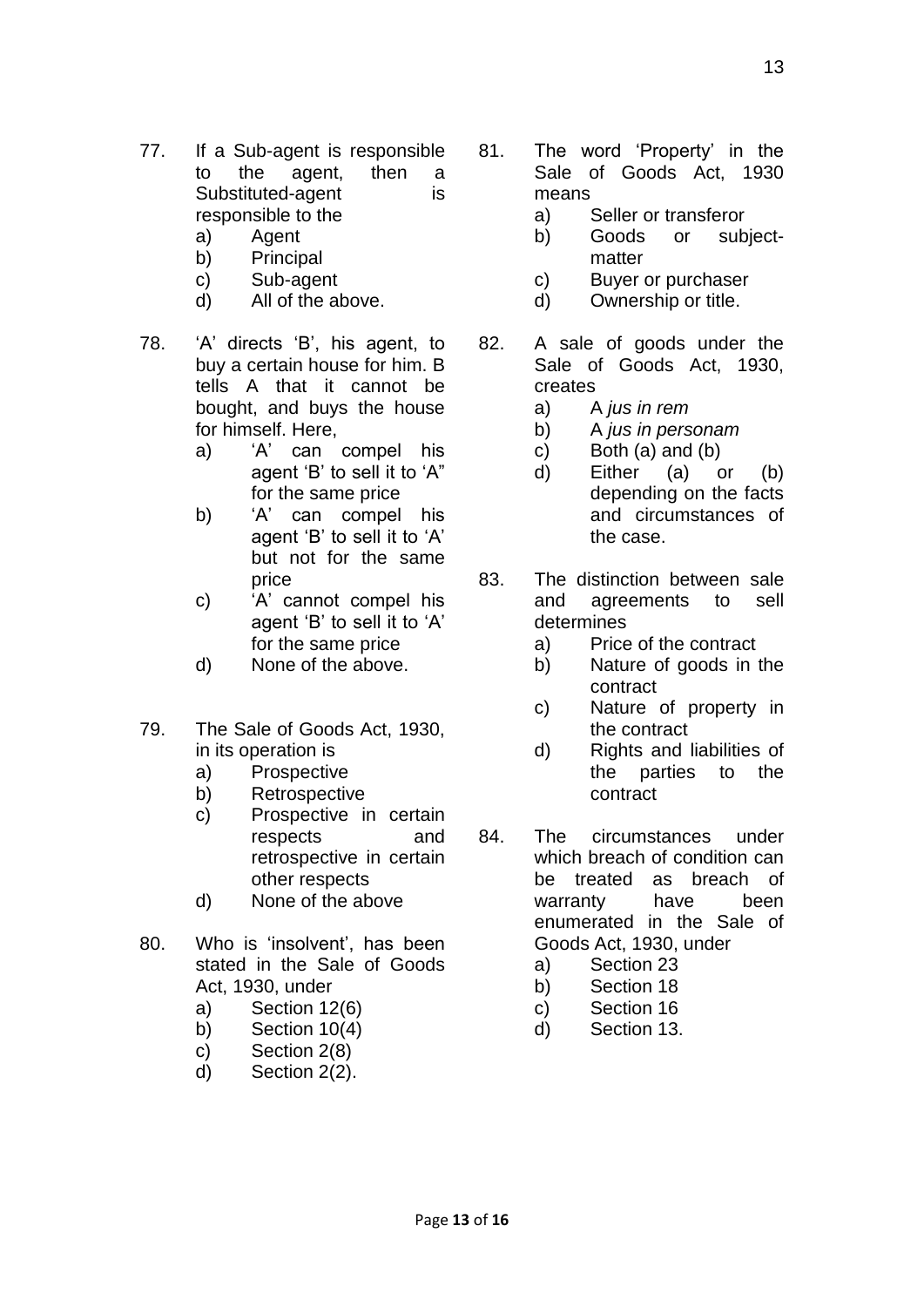- 77. If a Sub-agent is responsible to the agent, then a Substituted-agent is responsible to the
	- a) Agent
	- b) Principal
	- c) Sub-agent
	- d) All of the above.
- 78. 'A' directs 'B', his agent, to buy a certain house for him. B tells A that it cannot be bought, and buys the house for himself. Here,
	- a) 'A' can compel his agent 'B' to sell it to 'A" for the same price
	- b) 'A' can compel his agent 'B' to sell it to 'A' but not for the same price
	- c) 'A' cannot compel his agent 'B' to sell it to 'A' for the same price
	- d) None of the above.
- 79. The Sale of Goods Act, 1930, in its operation is
	- a) Prospective
	- b) Retrospective
	- c) Prospective in certain respects and retrospective in certain other respects
	- d) None of the above
- 80. Who is 'insolvent', has been stated in the Sale of Goods Act, 1930, under
	- a) Section 12(6)
	- b) Section 10(4)
	- c) Section 2(8)
	- d) Section 2(2).
- 81. The word 'Property' in the Sale of Goods Act, 1930 means
	- a) Seller or transferor
	- b) Goods or subjectmatter
	- c) Buyer or purchaser
	- d) Ownership or title.
- 82. A sale of goods under the Sale of Goods Act, 1930, creates
	- a) A *jus in rem*
	- b) A *jus in personam*
	- c) Both (a) and (b)
	- d) Either (a) or (b) depending on the facts and circumstances of the case.
- 83. The distinction between sale and agreements to sell determines
	- a) Price of the contract
	- b) Nature of goods in the contract
	- c) Nature of property in the contract
	- d) Rights and liabilities of the parties to the contract
- 84. The circumstances under which breach of condition can be treated as breach of warranty have been enumerated in the Sale of Goods Act, 1930, under
	- a) Section 23
	- b) Section 18
	- c) Section 16
	- d) Section 13.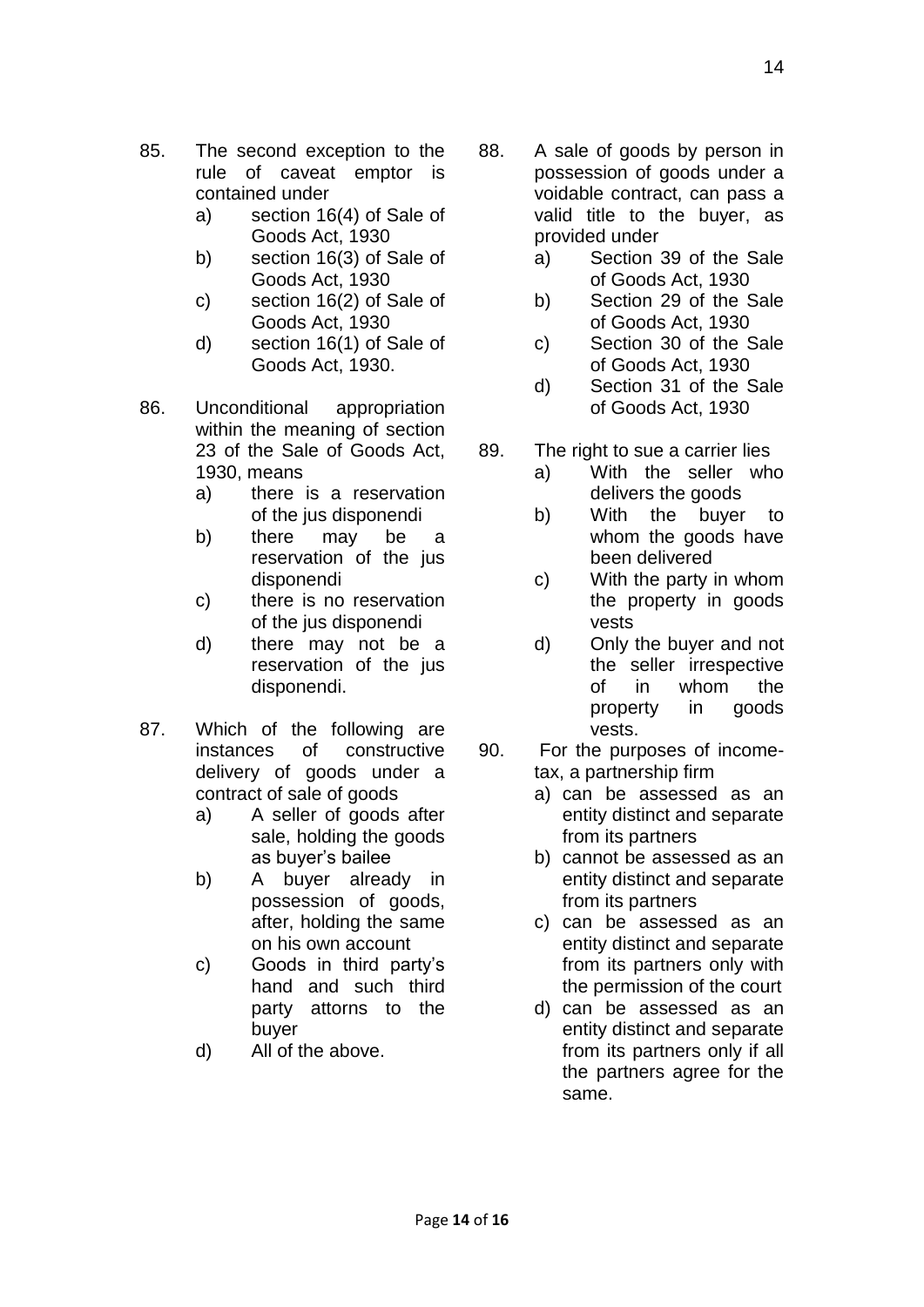14

- 85. The second exception to the rule of caveat emptor is contained under
	- a) section 16(4) of Sale of Goods Act, 1930
	- b) section 16(3) of Sale of Goods Act, 1930
	- c) section 16(2) of Sale of Goods Act, 1930
	- d) section 16(1) of Sale of Goods Act, 1930.
- 86. Unconditional appropriation within the meaning of section 23 of the Sale of Goods Act, 1930, means
	- a) there is a reservation of the jus disponendi
	- b) there may be a reservation of the jus disponendi
	- c) there is no reservation of the jus disponendi
	- d) there may not be a reservation of the jus disponendi.
- 87. Which of the following are instances of constructive delivery of goods under a contract of sale of goods
	- a) A seller of goods after sale, holding the goods as buyer's bailee
	- b) A buyer already in possession of goods, after, holding the same on his own account
	- c) Goods in third party's hand and such third party attorns to the buyer
	- d) All of the above.
- 88. A sale of goods by person in possession of goods under a voidable contract, can pass a valid title to the buyer, as provided under
	- a) Section 39 of the Sale of Goods Act, 1930
	- b) Section 29 of the Sale of Goods Act, 1930
	- c) Section 30 of the Sale of Goods Act, 1930
	- d) Section 31 of the Sale of Goods Act, 1930
- 89. The right to sue a carrier lies
	- a) With the seller who delivers the goods
	- b) With the buyer to whom the goods have been delivered
	- c) With the party in whom the property in goods vests
	- d) Only the buyer and not the seller irrespective of in whom the property in goods vests.
- 90. For the purposes of incometax, a partnership firm
	- a) can be assessed as an entity distinct and separate from its partners
	- b) cannot be assessed as an entity distinct and separate from its partners
	- c) can be assessed as an entity distinct and separate from its partners only with the permission of the court
	- d) can be assessed as an entity distinct and separate from its partners only if all the partners agree for the same.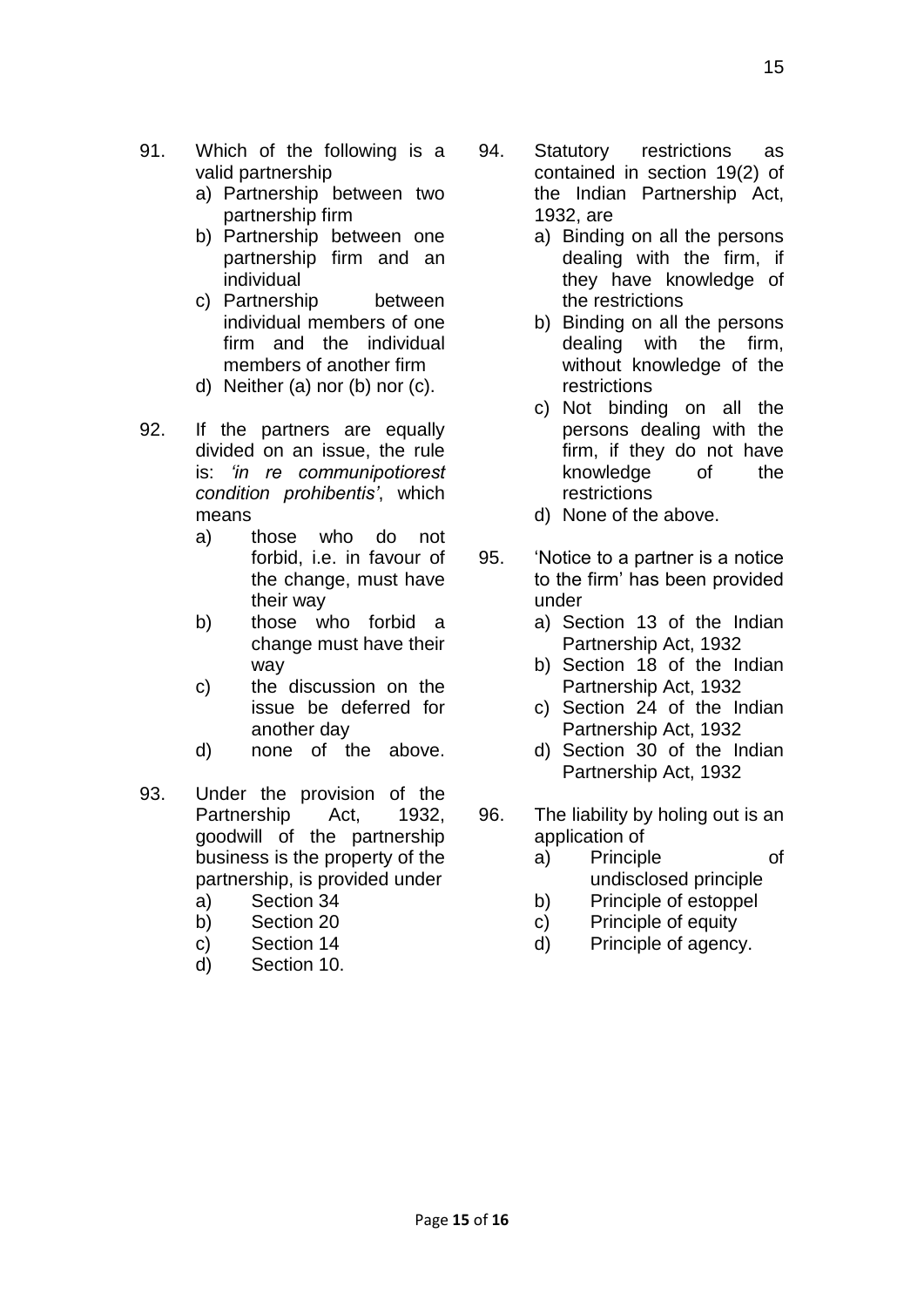- 91. Which of the following is a valid partnership
	- a) Partnership between two partnership firm
	- b) Partnership between one partnership firm and an individual
	- c) Partnership between individual members of one firm and the individual members of another firm
	- d) Neither (a) nor (b) nor (c).
- 92. If the partners are equally divided on an issue, the rule is: *'in re communipotiorest condition prohibentis'*, which means
	- a) those who do not forbid, i.e. in favour of the change, must have their way
	- b) those who forbid a change must have their way
	- c) the discussion on the issue be deferred for another day
	- d) none of the above.
- 93. Under the provision of the Partnership Act, 1932, goodwill of the partnership business is the property of the partnership, is provided under
	- a) Section 34
	- b) Section 20
	- c) Section 14
	- d) Section 10.
- 94. Statutory restrictions as contained in section 19(2) of the Indian Partnership Act, 1932, are
	- a) Binding on all the persons dealing with the firm, if they have knowledge of the restrictions
	- b) Binding on all the persons dealing with the firm, without knowledge of the restrictions
	- c) Not binding on all the persons dealing with the firm, if they do not have knowledge of the restrictions
	- d) None of the above.
- 95. 'Notice to a partner is a notice to the firm' has been provided under
	- a) Section 13 of the Indian Partnership Act, 1932
	- b) Section 18 of the Indian Partnership Act, 1932
	- c) Section 24 of the Indian Partnership Act, 1932
	- d) Section 30 of the Indian Partnership Act, 1932
- 96. The liability by holing out is an application of
	- a) Principle of undisclosed principle
		- b) Principle of estoppel
		- c) Principle of equity
		- d) Principle of agency.